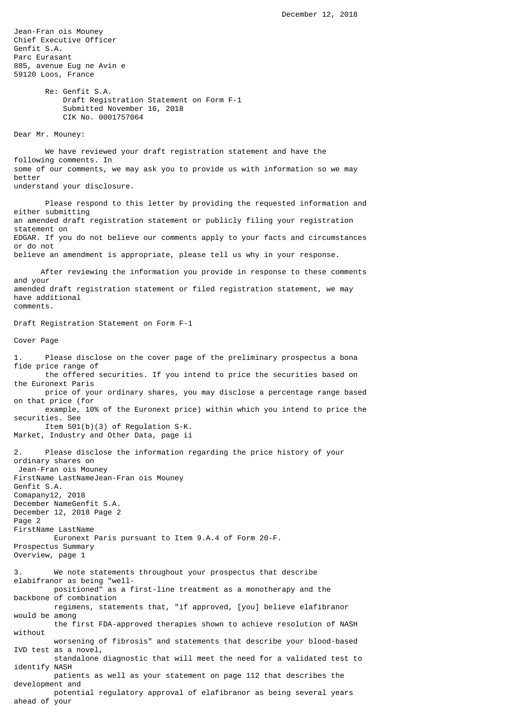Jean-Fran ois Mouney Chief Executive Officer Genfit S.A. Parc Eurasant 885, avenue Eug ne Avin e 59120 Loos, France Re: Genfit S.A. Draft Registration Statement on Form F-1 Submitted November 16, 2018 CIK No. 0001757064 Dear Mr. Mouney: We have reviewed your draft registration statement and have the following comments. In some of our comments, we may ask you to provide us with information so we may better understand your disclosure. Please respond to this letter by providing the requested information and either submitting an amended draft registration statement or publicly filing your registration statement on EDGAR. If you do not believe our comments apply to your facts and circumstances or do not believe an amendment is appropriate, please tell us why in your response. After reviewing the information you provide in response to these comments and your amended draft registration statement or filed registration statement, we may have additional comments. Draft Registration Statement on Form F-1 Cover Page 1. Please disclose on the cover page of the preliminary prospectus a bona fide price range of the offered securities. If you intend to price the securities based on the Euronext Paris price of your ordinary shares, you may disclose a percentage range based on that price (for example, 10% of the Euronext price) within which you intend to price the securities. See Item 501(b)(3) of Regulation S-K. Market, Industry and Other Data, page ii 2. Please disclose the information regarding the price history of your ordinary shares on Jean-Fran ois Mouney FirstName LastNameJean-Fran ois Mouney Genfit S.A. Comapany12, 2018 December NameGenfit S.A. December 12, 2018 Page 2 Page 2 FirstName LastName Euronext Paris pursuant to Item 9.A.4 of Form 20-F. Prospectus Summary Overview, page 1 3. We note statements throughout your prospectus that describe elabifranor as being "well positioned" as a first-line treatment as a monotherapy and the backbone of combination regimens, statements that, "if approved, [you] believe elafibranor would be among the first FDA-approved therapies shown to achieve resolution of NASH without worsening of fibrosis" and statements that describe your blood-based IVD test as a novel, standalone diagnostic that will meet the need for a validated test to identify NASH patients as well as your statement on page 112 that describes the development and potential regulatory approval of elafibranor as being several years ahead of your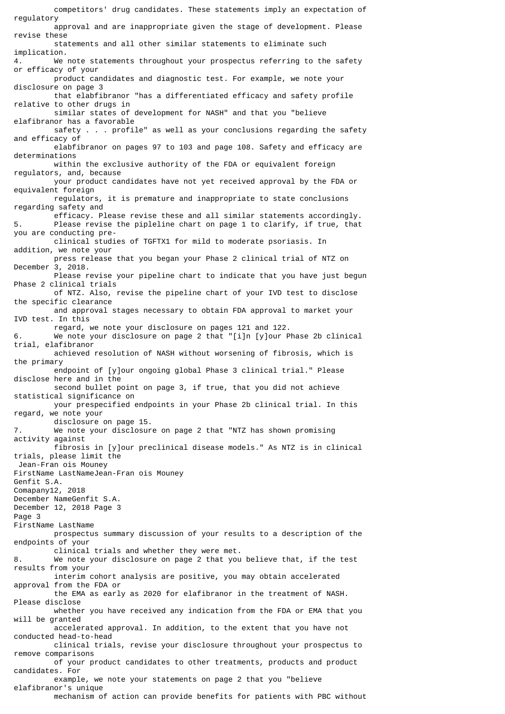competitors' drug candidates. These statements imply an expectation of regulatory approval and are inappropriate given the stage of development. Please revise these statements and all other similar statements to eliminate such implication. 4. We note statements throughout your prospectus referring to the safety or efficacy of your product candidates and diagnostic test. For example, we note your disclosure on page 3 that elabfibranor "has a differentiated efficacy and safety profile relative to other drugs in similar states of development for NASH" and that you "believe elafibranor has a favorable safety . . . profile" as well as your conclusions regarding the safety and efficacy of elabfibranor on pages 97 to 103 and page 108. Safety and efficacy are determinations within the exclusive authority of the FDA or equivalent foreign regulators, and, because your product candidates have not yet received approval by the FDA or equivalent foreign regulators, it is premature and inappropriate to state conclusions regarding safety and efficacy. Please revise these and all similar statements accordingly. 5. Please revise the pipleline chart on page 1 to clarify, if true, that you are conducting pre clinical studies of TGFTX1 for mild to moderate psoriasis. In addition, we note your press release that you began your Phase 2 clinical trial of NTZ on December 3, 2018. Please revise your pipeline chart to indicate that you have just begun Phase 2 clinical trials of NTZ. Also, revise the pipeline chart of your IVD test to disclose the specific clearance and approval stages necessary to obtain FDA approval to market your IVD test. In this regard, we note your disclosure on pages 121 and 122. 6. We note your disclosure on page 2 that "[i]n [y]our Phase 2b clinical trial, elafibranor achieved resolution of NASH without worsening of fibrosis, which is the primary endpoint of [y]our ongoing global Phase 3 clinical trial." Please disclose here and in the second bullet point on page 3, if true, that you did not achieve statistical significance on your prespecified endpoints in your Phase 2b clinical trial. In this regard, we note your disclosure on page 15. 7. We note your disclosure on page 2 that "NTZ has shown promising activity against fibrosis in [y]our preclinical disease models." As NTZ is in clinical trials, please limit the Jean-Fran ois Mouney FirstName LastNameJean-Fran ois Mouney Genfit S.A. Comapany12, 2018 December NameGenfit S.A. December 12, 2018 Page 3 Page 3 FirstName LastName prospectus summary discussion of your results to a description of the endpoints of your clinical trials and whether they were met. 8. We note your disclosure on page 2 that you believe that, if the test results from your interim cohort analysis are positive, you may obtain accelerated approval from the FDA or the EMA as early as 2020 for elafibranor in the treatment of NASH. Please disclose whether you have received any indication from the FDA or EMA that you will be granted accelerated approval. In addition, to the extent that you have not conducted head-to-head clinical trials, revise your disclosure throughout your prospectus to remove comparisons of your product candidates to other treatments, products and product candidates. For example, we note your statements on page 2 that you "believe elafibranor's unique

mechanism of action can provide benefits for patients with PBC without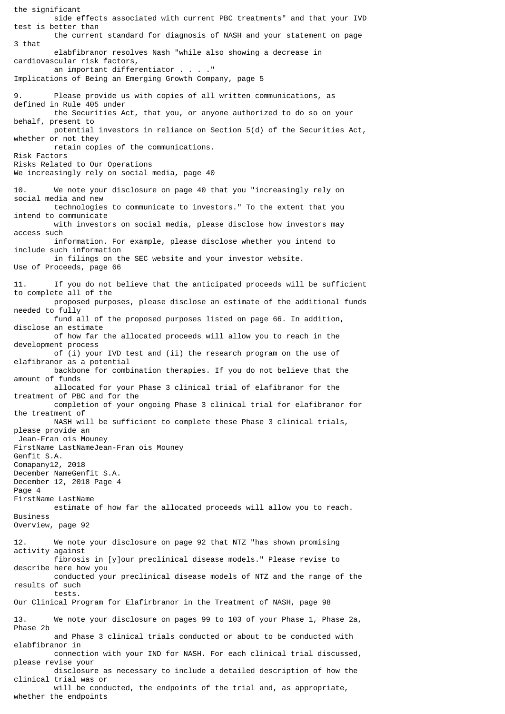the significant side effects associated with current PBC treatments" and that your IVD test is better than the current standard for diagnosis of NASH and your statement on page 3 that elabfibranor resolves Nash "while also showing a decrease in cardiovascular risk factors, an important differentiator . . Implications of Being an Emerging Growth Company, page 5 9. Please provide us with copies of all written communications, as defined in Rule 405 under the Securities Act, that you, or anyone authorized to do so on your behalf, present to potential investors in reliance on Section 5(d) of the Securities Act, whether or not they retain copies of the communications. Risk Factors Risks Related to Our Operations We increasingly rely on social media, page 40 10. We note your disclosure on page 40 that you "increasingly rely on social media and new technologies to communicate to investors." To the extent that you intend to communicate with investors on social media, please disclose how investors may access such information. For example, please disclose whether you intend to include such information in filings on the SEC website and your investor website. Use of Proceeds, page 66 11. If you do not believe that the anticipated proceeds will be sufficient to complete all of the proposed purposes, please disclose an estimate of the additional funds needed to fully fund all of the proposed purposes listed on page 66. In addition, disclose an estimate of how far the allocated proceeds will allow you to reach in the development process of (i) your IVD test and (ii) the research program on the use of elafibranor as a potential backbone for combination therapies. If you do not believe that the amount of funds allocated for your Phase 3 clinical trial of elafibranor for the treatment of PBC and for the completion of your ongoing Phase 3 clinical trial for elafibranor for the treatment of NASH will be sufficient to complete these Phase 3 clinical trials, please provide an Jean-Fran ois Mouney FirstName LastNameJean-Fran ois Mouney Genfit S.A. Comapany12, 2018 December NameGenfit S.A. December 12, 2018 Page 4 Page 4 FirstName LastName estimate of how far the allocated proceeds will allow you to reach. Business Overview, page 92 12. We note your disclosure on page 92 that NTZ "has shown promising activity against fibrosis in [y]our preclinical disease models." Please revise to describe here how you conducted your preclinical disease models of NTZ and the range of the results of such tests. Our Clinical Program for Elafirbranor in the Treatment of NASH, page 98 13. We note your disclosure on pages 99 to 103 of your Phase 1, Phase 2a, Phase 2b and Phase 3 clinical trials conducted or about to be conducted with elabfibranor in connection with your IND for NASH. For each clinical trial discussed, please revise your disclosure as necessary to include a detailed description of how the clinical trial was or will be conducted, the endpoints of the trial and, as appropriate, whether the endpoints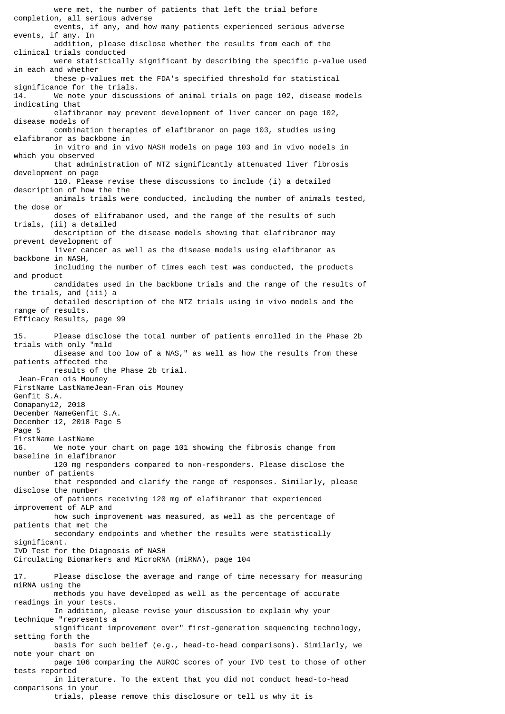were met, the number of patients that left the trial before completion, all serious adverse events, if any, and how many patients experienced serious adverse events, if any. In addition, please disclose whether the results from each of the clinical trials conducted were statistically significant by describing the specific p-value used in each and whether these p-values met the FDA's specified threshold for statistical significance for the trials. 14. We note your discussions of animal trials on page 102, disease models indicating that elafibranor may prevent development of liver cancer on page 102, disease models of combination therapies of elafibranor on page 103, studies using elafibranor as backbone in in vitro and in vivo NASH models on page 103 and in vivo models in which you observed that administration of NTZ significantly attenuated liver fibrosis development on page 110. Please revise these discussions to include (i) a detailed description of how the the animals trials were conducted, including the number of animals tested, the dose or doses of elifrabanor used, and the range of the results of such trials, (ii) a detailed description of the disease models showing that elafribranor may prevent development of liver cancer as well as the disease models using elafibranor as backbone in NASH, including the number of times each test was conducted, the products and product candidates used in the backbone trials and the range of the results of the trials, and (iii) a detailed description of the NTZ trials using in vivo models and the range of results. Efficacy Results, page 99 15. Please disclose the total number of patients enrolled in the Phase 2b trials with only "mild disease and too low of a NAS," as well as how the results from these patients affected the results of the Phase 2b trial. Jean-Fran ois Mouney FirstName LastNameJean-Fran ois Mouney Genfit S.A. Comapany12, 2018 December NameGenfit S.A. December 12, 2018 Page 5 Page 5 FirstName LastName 16. We note your chart on page 101 showing the fibrosis change from baseline in elafibranor 120 mg responders compared to non-responders. Please disclose the number of patients that responded and clarify the range of responses. Similarly, please disclose the number of patients receiving 120 mg of elafibranor that experienced improvement of ALP and how such improvement was measured, as well as the percentage of patients that met the secondary endpoints and whether the results were statistically significant. IVD Test for the Diagnosis of NASH Circulating Biomarkers and MicroRNA (miRNA), page 104 17. Please disclose the average and range of time necessary for measuring miRNA using the methods you have developed as well as the percentage of accurate readings in your tests. In addition, please revise your discussion to explain why your technique "represents a significant improvement over" first-generation sequencing technology, setting forth the basis for such belief (e.g., head-to-head comparisons). Similarly, we note your chart on page 106 comparing the AUROC scores of your IVD test to those of other tests reported in literature. To the extent that you did not conduct head-to-head comparisons in your trials, please remove this disclosure or tell us why it is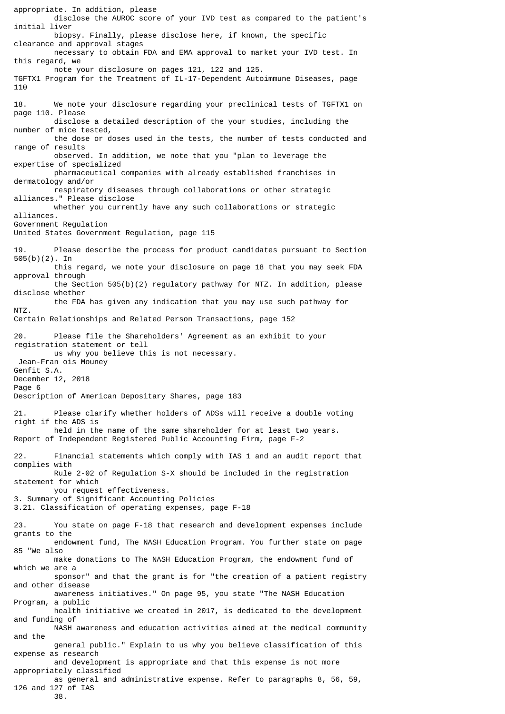appropriate. In addition, please disclose the AUROC score of your IVD test as compared to the patient's initial liver biopsy. Finally, please disclose here, if known, the specific clearance and approval stages necessary to obtain FDA and EMA approval to market your IVD test. In this regard, we note your disclosure on pages 121, 122 and 125. TGFTX1 Program for the Treatment of IL-17-Dependent Autoimmune Diseases, page 110 18. We note your disclosure regarding your preclinical tests of TGFTX1 on page 110. Please disclose a detailed description of the your studies, including the number of mice tested, the dose or doses used in the tests, the number of tests conducted and range of results observed. In addition, we note that you "plan to leverage the expertise of specialized pharmaceutical companies with already established franchises in dermatology and/or respiratory diseases through collaborations or other strategic alliances." Please disclose whether you currently have any such collaborations or strategic alliances. Government Regulation United States Government Regulation, page 115 19. Please describe the process for product candidates pursuant to Section 505(b)(2). In this regard, we note your disclosure on page 18 that you may seek FDA approval through the Section 505(b)(2) regulatory pathway for NTZ. In addition, please disclose whether the FDA has given any indication that you may use such pathway for NTZ. Certain Relationships and Related Person Transactions, page 152 20. Please file the Shareholders' Agreement as an exhibit to your registration statement or tell us why you believe this is not necessary. Jean-Fran ois Mouney Genfit S.A. December 12, 2018 Page 6 Description of American Depositary Shares, page 183 21. Please clarify whether holders of ADSs will receive a double voting right if the ADS is held in the name of the same shareholder for at least two years. Report of Independent Registered Public Accounting Firm, page F-2 22. Financial statements which comply with IAS 1 and an audit report that complies with Rule 2-02 of Regulation S-X should be included in the registration statement for which you request effectiveness. 3. Summary of Significant Accounting Policies 3.21. Classification of operating expenses, page F-18 23. You state on page F-18 that research and development expenses include grants to the endowment fund, The NASH Education Program. You further state on page 85 "We also make donations to The NASH Education Program, the endowment fund of which we are a sponsor" and that the grant is for "the creation of a patient registry and other disease awareness initiatives." On page 95, you state "The NASH Education Program, a public health initiative we created in 2017, is dedicated to the development and funding of NASH awareness and education activities aimed at the medical community and the general public." Explain to us why you believe classification of this expense as research and development is appropriate and that this expense is not more appropriately classified as general and administrative expense. Refer to paragraphs 8, 56, 59, 126 and 127 of IAS

38.